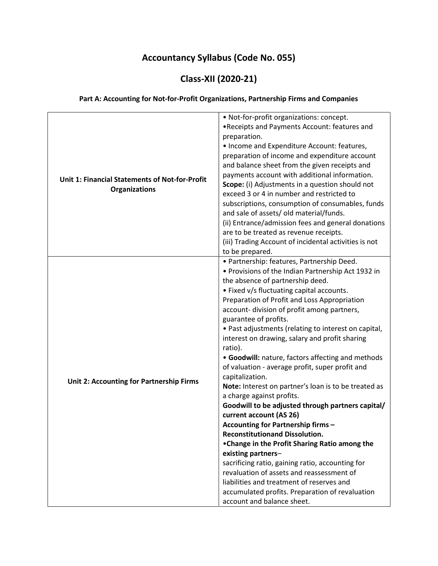### Accountancy Syllabus (Code No. 055)

### Class-XII (2020-21)

#### Part A: Accounting for Not-for-Profit Organizations, Partnership Firms and Companies

| Unit 1: Financial Statements of Not-for-Profit<br><b>Organizations</b> | • Not-for-profit organizations: concept.<br>. Receipts and Payments Account: features and<br>preparation.<br>• Income and Expenditure Account: features,<br>preparation of income and expenditure account<br>and balance sheet from the given receipts and<br>payments account with additional information.<br>Scope: (i) Adjustments in a question should not<br>exceed 3 or 4 in number and restricted to<br>subscriptions, consumption of consumables, funds<br>and sale of assets/ old material/funds.<br>(ii) Entrance/admission fees and general donations<br>are to be treated as revenue receipts.                                                                                                                                                                                                                                                                                                                                                                                                                        |  |
|------------------------------------------------------------------------|-----------------------------------------------------------------------------------------------------------------------------------------------------------------------------------------------------------------------------------------------------------------------------------------------------------------------------------------------------------------------------------------------------------------------------------------------------------------------------------------------------------------------------------------------------------------------------------------------------------------------------------------------------------------------------------------------------------------------------------------------------------------------------------------------------------------------------------------------------------------------------------------------------------------------------------------------------------------------------------------------------------------------------------|--|
|                                                                        | (iii) Trading Account of incidental activities is not<br>to be prepared.                                                                                                                                                                                                                                                                                                                                                                                                                                                                                                                                                                                                                                                                                                                                                                                                                                                                                                                                                          |  |
| Unit 2: Accounting for Partnership Firms                               | • Partnership: features, Partnership Deed.<br>• Provisions of the Indian Partnership Act 1932 in<br>the absence of partnership deed.<br>• Fixed v/s fluctuating capital accounts.<br>Preparation of Profit and Loss Appropriation<br>account-division of profit among partners,<br>guarantee of profits.<br>• Past adjustments (relating to interest on capital,<br>interest on drawing, salary and profit sharing<br>ratio).<br>• Goodwill: nature, factors affecting and methods<br>of valuation - average profit, super profit and<br>capitalization.<br>Note: Interest on partner's loan is to be treated as<br>a charge against profits.<br>Goodwill to be adjusted through partners capital/<br>current account (AS 26)<br>Accounting for Partnership firms -<br><b>Reconstitutionand Dissolution.</b><br>•Change in the Profit Sharing Ratio among the<br>existing partners-<br>sacrificing ratio, gaining ratio, accounting for<br>revaluation of assets and reassessment of<br>liabilities and treatment of reserves and |  |
|                                                                        | accumulated profits. Preparation of revaluation<br>account and balance sheet.                                                                                                                                                                                                                                                                                                                                                                                                                                                                                                                                                                                                                                                                                                                                                                                                                                                                                                                                                     |  |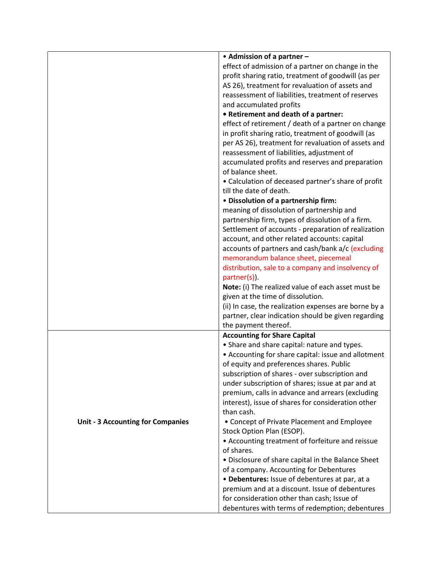|                                          | • Admission of a partner -                                                                                                                                                                                                                                                                                                                                                                                                                                                                                                                                                 |  |  |
|------------------------------------------|----------------------------------------------------------------------------------------------------------------------------------------------------------------------------------------------------------------------------------------------------------------------------------------------------------------------------------------------------------------------------------------------------------------------------------------------------------------------------------------------------------------------------------------------------------------------------|--|--|
|                                          | effect of admission of a partner on change in the                                                                                                                                                                                                                                                                                                                                                                                                                                                                                                                          |  |  |
|                                          | profit sharing ratio, treatment of goodwill (as per                                                                                                                                                                                                                                                                                                                                                                                                                                                                                                                        |  |  |
|                                          | AS 26), treatment for revaluation of assets and                                                                                                                                                                                                                                                                                                                                                                                                                                                                                                                            |  |  |
|                                          | reassessment of liabilities, treatment of reserves                                                                                                                                                                                                                                                                                                                                                                                                                                                                                                                         |  |  |
|                                          | and accumulated profits                                                                                                                                                                                                                                                                                                                                                                                                                                                                                                                                                    |  |  |
|                                          | • Retirement and death of a partner:                                                                                                                                                                                                                                                                                                                                                                                                                                                                                                                                       |  |  |
|                                          | effect of retirement / death of a partner on change<br>in profit sharing ratio, treatment of goodwill (as<br>per AS 26), treatment for revaluation of assets and<br>reassessment of liabilities, adjustment of<br>accumulated profits and reserves and preparation<br>of balance sheet.<br>• Calculation of deceased partner's share of profit<br>till the date of death.<br>• Dissolution of a partnership firm:<br>meaning of dissolution of partnership and<br>partnership firm, types of dissolution of a firm.<br>Settlement of accounts - preparation of realization |  |  |
|                                          |                                                                                                                                                                                                                                                                                                                                                                                                                                                                                                                                                                            |  |  |
|                                          |                                                                                                                                                                                                                                                                                                                                                                                                                                                                                                                                                                            |  |  |
|                                          |                                                                                                                                                                                                                                                                                                                                                                                                                                                                                                                                                                            |  |  |
|                                          |                                                                                                                                                                                                                                                                                                                                                                                                                                                                                                                                                                            |  |  |
|                                          |                                                                                                                                                                                                                                                                                                                                                                                                                                                                                                                                                                            |  |  |
|                                          |                                                                                                                                                                                                                                                                                                                                                                                                                                                                                                                                                                            |  |  |
|                                          |                                                                                                                                                                                                                                                                                                                                                                                                                                                                                                                                                                            |  |  |
|                                          |                                                                                                                                                                                                                                                                                                                                                                                                                                                                                                                                                                            |  |  |
|                                          |                                                                                                                                                                                                                                                                                                                                                                                                                                                                                                                                                                            |  |  |
|                                          |                                                                                                                                                                                                                                                                                                                                                                                                                                                                                                                                                                            |  |  |
|                                          |                                                                                                                                                                                                                                                                                                                                                                                                                                                                                                                                                                            |  |  |
|                                          | account, and other related accounts: capital                                                                                                                                                                                                                                                                                                                                                                                                                                                                                                                               |  |  |
|                                          | accounts of partners and cash/bank a/c (excluding                                                                                                                                                                                                                                                                                                                                                                                                                                                                                                                          |  |  |
|                                          | memorandum balance sheet, piecemeal                                                                                                                                                                                                                                                                                                                                                                                                                                                                                                                                        |  |  |
|                                          | distribution, sale to a company and insolvency of                                                                                                                                                                                                                                                                                                                                                                                                                                                                                                                          |  |  |
|                                          | partner(s)).                                                                                                                                                                                                                                                                                                                                                                                                                                                                                                                                                               |  |  |
|                                          | Note: (i) The realized value of each asset must be<br>given at the time of dissolution.                                                                                                                                                                                                                                                                                                                                                                                                                                                                                    |  |  |
|                                          |                                                                                                                                                                                                                                                                                                                                                                                                                                                                                                                                                                            |  |  |
|                                          | (ii) In case, the realization expenses are borne by a                                                                                                                                                                                                                                                                                                                                                                                                                                                                                                                      |  |  |
|                                          | partner, clear indication should be given regarding                                                                                                                                                                                                                                                                                                                                                                                                                                                                                                                        |  |  |
|                                          | the payment thereof.                                                                                                                                                                                                                                                                                                                                                                                                                                                                                                                                                       |  |  |
|                                          | <b>Accounting for Share Capital</b>                                                                                                                                                                                                                                                                                                                                                                                                                                                                                                                                        |  |  |
|                                          | • Share and share capital: nature and types.                                                                                                                                                                                                                                                                                                                                                                                                                                                                                                                               |  |  |
|                                          | • Accounting for share capital: issue and allotment                                                                                                                                                                                                                                                                                                                                                                                                                                                                                                                        |  |  |
|                                          | of equity and preferences shares. Public                                                                                                                                                                                                                                                                                                                                                                                                                                                                                                                                   |  |  |
|                                          | subscription of shares - over subscription and                                                                                                                                                                                                                                                                                                                                                                                                                                                                                                                             |  |  |
|                                          | under subscription of shares; issue at par and at                                                                                                                                                                                                                                                                                                                                                                                                                                                                                                                          |  |  |
|                                          | premium, calls in advance and arrears (excluding                                                                                                                                                                                                                                                                                                                                                                                                                                                                                                                           |  |  |
|                                          | interest), issue of shares for consideration other                                                                                                                                                                                                                                                                                                                                                                                                                                                                                                                         |  |  |
|                                          | than cash.                                                                                                                                                                                                                                                                                                                                                                                                                                                                                                                                                                 |  |  |
| <b>Unit - 3 Accounting for Companies</b> | • Concept of Private Placement and Employee                                                                                                                                                                                                                                                                                                                                                                                                                                                                                                                                |  |  |
|                                          | Stock Option Plan (ESOP).                                                                                                                                                                                                                                                                                                                                                                                                                                                                                                                                                  |  |  |
|                                          | • Accounting treatment of forfeiture and reissue                                                                                                                                                                                                                                                                                                                                                                                                                                                                                                                           |  |  |
|                                          | of shares.                                                                                                                                                                                                                                                                                                                                                                                                                                                                                                                                                                 |  |  |
|                                          | • Disclosure of share capital in the Balance Sheet                                                                                                                                                                                                                                                                                                                                                                                                                                                                                                                         |  |  |
|                                          | of a company. Accounting for Debentures                                                                                                                                                                                                                                                                                                                                                                                                                                                                                                                                    |  |  |
|                                          | • Debentures: Issue of debentures at par, at a                                                                                                                                                                                                                                                                                                                                                                                                                                                                                                                             |  |  |
|                                          | premium and at a discount. Issue of debentures                                                                                                                                                                                                                                                                                                                                                                                                                                                                                                                             |  |  |
|                                          | for consideration other than cash; Issue of                                                                                                                                                                                                                                                                                                                                                                                                                                                                                                                                |  |  |
|                                          | debentures with terms of redemption; debentures                                                                                                                                                                                                                                                                                                                                                                                                                                                                                                                            |  |  |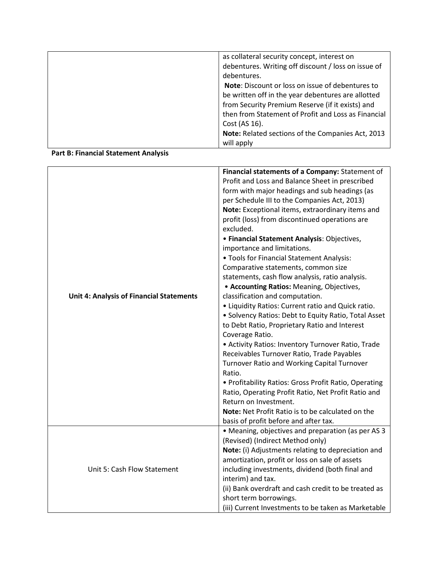| as collateral security concept, interest on         |
|-----------------------------------------------------|
| debentures. Writing off discount / loss on issue of |
| debentures.                                         |
| Note: Discount or loss on issue of debentures to    |
| be written off in the year debentures are allotted  |
| from Security Premium Reserve (if it exists) and    |
| then from Statement of Profit and Loss as Financial |
| Cost (AS 16).                                       |
| Note: Related sections of the Companies Act, 2013   |
| will apply                                          |

#### Part B: Financial Statement Analysis

|                                                 | Financial statements of a Company: Statement of<br>Profit and Loss and Balance Sheet in prescribed           |  |  |
|-------------------------------------------------|--------------------------------------------------------------------------------------------------------------|--|--|
|                                                 | form with major headings and sub headings (as                                                                |  |  |
|                                                 | per Schedule III to the Companies Act, 2013)                                                                 |  |  |
|                                                 | Note: Exceptional items, extraordinary items and                                                             |  |  |
|                                                 | profit (loss) from discontinued operations are                                                               |  |  |
|                                                 | excluded.                                                                                                    |  |  |
|                                                 | · Financial Statement Analysis: Objectives,                                                                  |  |  |
|                                                 | importance and limitations.                                                                                  |  |  |
|                                                 | . Tools for Financial Statement Analysis:                                                                    |  |  |
|                                                 | Comparative statements, common size                                                                          |  |  |
|                                                 | statements, cash flow analysis, ratio analysis.                                                              |  |  |
|                                                 | • Accounting Ratios: Meaning, Objectives,                                                                    |  |  |
| <b>Unit 4: Analysis of Financial Statements</b> | classification and computation.                                                                              |  |  |
|                                                 | • Liquidity Ratios: Current ratio and Quick ratio.                                                           |  |  |
|                                                 | • Solvency Ratios: Debt to Equity Ratio, Total Asset                                                         |  |  |
|                                                 | to Debt Ratio, Proprietary Ratio and Interest                                                                |  |  |
|                                                 | Coverage Ratio.                                                                                              |  |  |
|                                                 | • Activity Ratios: Inventory Turnover Ratio, Trade                                                           |  |  |
|                                                 | Receivables Turnover Ratio, Trade Payables                                                                   |  |  |
|                                                 | Turnover Ratio and Working Capital Turnover<br>Ratio.                                                        |  |  |
|                                                 |                                                                                                              |  |  |
|                                                 | • Profitability Ratios: Gross Profit Ratio, Operating<br>Ratio, Operating Profit Ratio, Net Profit Ratio and |  |  |
|                                                 | Return on Investment.                                                                                        |  |  |
|                                                 | Note: Net Profit Ratio is to be calculated on the                                                            |  |  |
|                                                 | basis of profit before and after tax.                                                                        |  |  |
|                                                 | • Meaning, objectives and preparation (as per AS 3                                                           |  |  |
|                                                 | (Revised) (Indirect Method only)                                                                             |  |  |
|                                                 | Note: (i) Adjustments relating to depreciation and                                                           |  |  |
|                                                 | amortization, profit or loss on sale of assets                                                               |  |  |
| Unit 5: Cash Flow Statement                     | including investments, dividend (both final and                                                              |  |  |
|                                                 | interim) and tax.                                                                                            |  |  |
|                                                 | (ii) Bank overdraft and cash credit to be treated as                                                         |  |  |
|                                                 | short term borrowings.                                                                                       |  |  |
|                                                 | (iii) Current Investments to be taken as Marketable                                                          |  |  |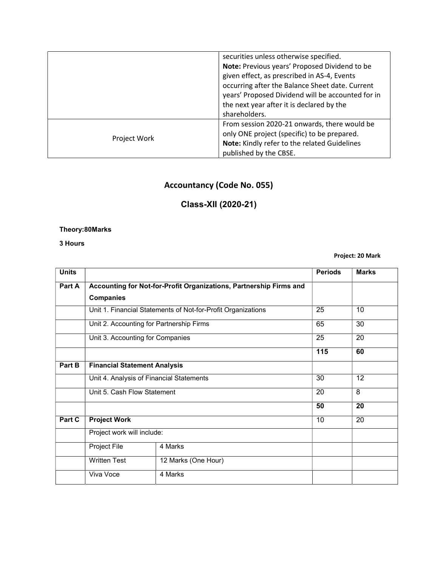|              | securities unless otherwise specified.            |  |
|--------------|---------------------------------------------------|--|
|              | Note: Previous years' Proposed Dividend to be     |  |
|              | given effect, as prescribed in AS-4, Events       |  |
|              | occurring after the Balance Sheet date. Current   |  |
|              | years' Proposed Dividend will be accounted for in |  |
|              | the next year after it is declared by the         |  |
|              | shareholders.                                     |  |
|              | From session 2020-21 onwards, there would be      |  |
| Project Work | only ONE project (specific) to be prepared.       |  |
|              | Note: Kindly refer to the related Guidelines      |  |
|              | published by the CBSE.                            |  |

## Accountancy (Code No. 055)

## Class-XII (2020-21)

#### Theory:80Marks

3 Hours

Project: 20 Mark

| <b>Units</b> |                                          |                                                                    | <b>Periods</b> | <b>Marks</b> |
|--------------|------------------------------------------|--------------------------------------------------------------------|----------------|--------------|
| Part A       |                                          | Accounting for Not-for-Profit Organizations, Partnership Firms and |                |              |
|              | <b>Companies</b>                         |                                                                    |                |              |
|              |                                          | Unit 1. Financial Statements of Not-for-Profit Organizations       | 25             | 10           |
|              | Unit 2. Accounting for Partnership Firms |                                                                    | 65             | 30           |
|              | Unit 3. Accounting for Companies         |                                                                    | 25             | 20           |
|              |                                          |                                                                    | 115            | 60           |
| Part B       | <b>Financial Statement Analysis</b>      |                                                                    |                |              |
|              | Unit 4. Analysis of Financial Statements |                                                                    | 30             | 12           |
|              | Unit 5. Cash Flow Statement              |                                                                    | 20             | 8            |
|              |                                          |                                                                    | 50             | 20           |
| Part C       | <b>Project Work</b>                      |                                                                    | 10             | 20           |
|              | Project work will include:               |                                                                    |                |              |
|              | Project File                             | 4 Marks                                                            |                |              |
|              | <b>Written Test</b>                      | 12 Marks (One Hour)                                                |                |              |
|              | Viva Voce                                | 4 Marks                                                            |                |              |